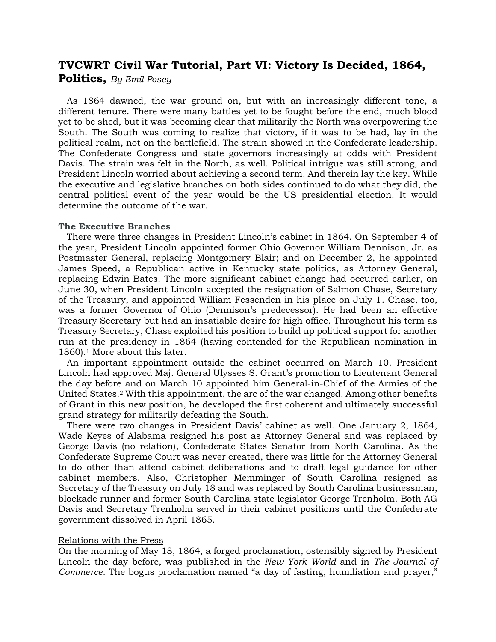# **TVCWRT Civil War Tutorial, Part VI: Victory Is Decided, 1864,**

**Politics,** *By Emil Posey*

 As 1864 dawned, the war ground on, but with an increasingly different tone, a different tenure. There were many battles yet to be fought before the end, much blood yet to be shed, but it was becoming clear that militarily the North was overpowering the South. The South was coming to realize that victory, if it was to be had, lay in the political realm, not on the battlefield. The strain showed in the Confederate leadership. The Confederate Congress and state governors increasingly at odds with President Davis. The strain was felt in the North, as well. Political intrigue was still strong, and President Lincoln worried about achieving a second term. And therein lay the key. While the executive and legislative branches on both sides continued to do what they did, the central political event of the year would be the US presidential election. It would determine the outcome of the war.

## **The Executive Branches**

 There were three changes in President Lincoln's cabinet in 1864. On September 4 of the year, President Lincoln appointed former Ohio Governor William Dennison, Jr. as Postmaster General, replacing Montgomery Blair; and on December 2, he appointed James Speed, a Republican active in Kentucky state politics, as Attorney General, replacing Edwin Bates. The more significant cabinet change had occurred earlier, on June 30, when President Lincoln accepted the resignation of Salmon Chase, Secretary of the Treasury, and appointed William Fessenden in his place on July 1. Chase, too, was a former Governor of Ohio (Dennison's predecessor). He had been an effective Treasury Secretary but had an insatiable desire for high office. Throughout his term as Treasury Secretary, Chase exploited his position to build up political support for another run at the presidency in 1864 (having contended for the Republican nomination in 1860).<sup>1</sup> More about this later.

 An important appointment outside the cabinet occurred on March 10. President Lincoln had approved Maj. General Ulysses S. Grant's promotion to Lieutenant General the day before and on March 10 appointed him General-in-Chief of the Armies of the United States. <sup>2</sup> With this appointment, the arc of the war changed. Among other benefits of Grant in this new position, he developed the first coherent and ultimately successful grand strategy for militarily defeating the South.

 There were two changes in President Davis' cabinet as well. One January 2, 1864, Wade Keyes of Alabama resigned his post as Attorney General and was replaced by George Davis (no relation), Confederate States Senator from North Carolina. As the Confederate Supreme Court was never created, there was little for the Attorney General to do other than attend cabinet deliberations and to draft legal guidance for other cabinet members. Also, Christopher Memminger of South Carolina resigned as Secretary of the Treasury on July 18 and was replaced by South Carolina businessman, blockade runner and former South Carolina state legislator George Trenholm. Both AG Davis and Secretary Trenholm served in their cabinet positions until the Confederate government dissolved in April 1865.

## Relations with the Press

On the morning of May 18, 1864, a forged proclamation, ostensibly signed by President Lincoln the day before, was published in the *New York World* and in *The Journal of Commerce*. The bogus proclamation named "a day of fasting, humiliation and prayer,"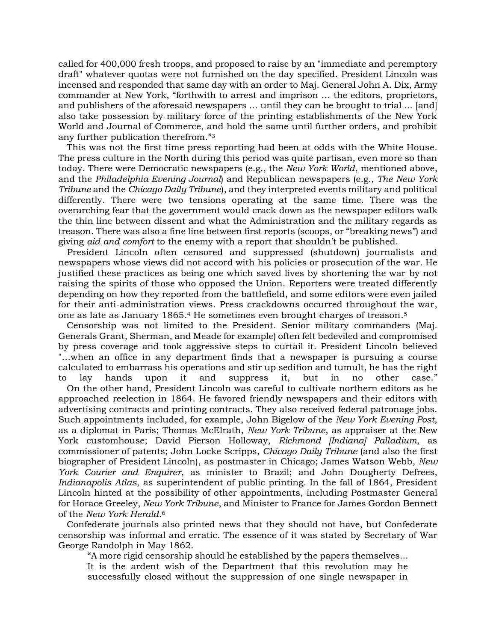called for 400,000 fresh troops, and proposed to raise by an "immediate and peremptory draft" whatever quotas were not furnished on the day specified. President Lincoln was incensed and responded that same day with an order to Maj. General John A. Dix, Army commander at New York, "forthwith to arrest and imprison … the editors, proprietors, and publishers of the aforesaid newspapers … until they can be brought to trial ... [and] also take possession by military force of the printing establishments of the New York World and Journal of Commerce, and hold the same until further orders, and prohibit any further publication therefrom." 3

 This was not the first time press reporting had been at odds with the White House. The press culture in the North during this period was quite partisan, even more so than today. There were Democratic newspapers (e.g., the *New York World*, mentioned above, and the *Philadelphia Evening Journal*) and Republican newspapers (e.g., *The New York Tribune* and the *Chicago Daily Tribune*), and they interpreted events military and political differently. There were two tensions operating at the same time. There was the overarching fear that the government would crack down as the newspaper editors walk the thin line between dissent and what the Administration and the military regards as treason. There was also a fine line between first reports (scoops, or "breaking news") and giving *aid and comfort* to the enemy with a report that shouldn't be published.

 President Lincoln often censored and suppressed (shutdown) journalists and newspapers whose views did not accord with his policies or prosecution of the war. He justified these practices as being one which saved lives by shortening the war by not raising the spirits of those who opposed the Union. Reporters were treated differently depending on how they reported from the battlefield, and some editors were even jailed for their anti-administration views. Press crackdowns occurred throughout the war, one as late as January 1865. <sup>4</sup> He sometimes even brought charges of treason. 5

 Censorship was not limited to the President. Senior military commanders (Maj. Generals Grant, Sherman, and Meade for example) often felt bedeviled and compromised by press coverage and took aggressive steps to curtail it. President Lincoln believed "…when an office in any department finds that a newspaper is pursuing a course calculated to embarrass his operations and stir up sedition and tumult, he has the right to lay hands upon it and suppress it, but in no other case." On the other hand, President Lincoln was careful to cultivate northern editors as he approached reelection in 1864. He favored friendly newspapers and their editors with advertising contracts and printing contracts. They also received federal patronage jobs. Such appointments included, for example, John Bigelow of the *New York Evening Post*, as a diplomat in Paris; Thomas McElrath, *New York Tribune*, as appraiser at the New York customhouse; David Pierson Holloway, *Richmond [Indiana] Palladium*, as commissioner of patents; John Locke Scripps, *Chicago Daily Tribune* (and also the first biographer of President Lincoln), as postmaster in Chicago; James Watson Webb, *New York Courier and Enquirer*, as minister to Brazil; and John Dougherty Defrees, *Indianapolis Atlas*, as superintendent of public printing. In the fall of 1864, President Lincoln hinted at the possibility of other appointments, including Postmaster General for Horace Greeley, *New York Tribune*, and Minister to France for James Gordon Bennett of the *New York Herald*. 6

 Confederate journals also printed news that they should not have, but Confederate censorship was informal and erratic. The essence of it was stated by Secretary of War George Randolph in May 1862.

"A more rigid censorship should he established by the papers themselves...

It is the ardent wish of the Department that this revolution may he successfully closed without the suppression of one single newspaper in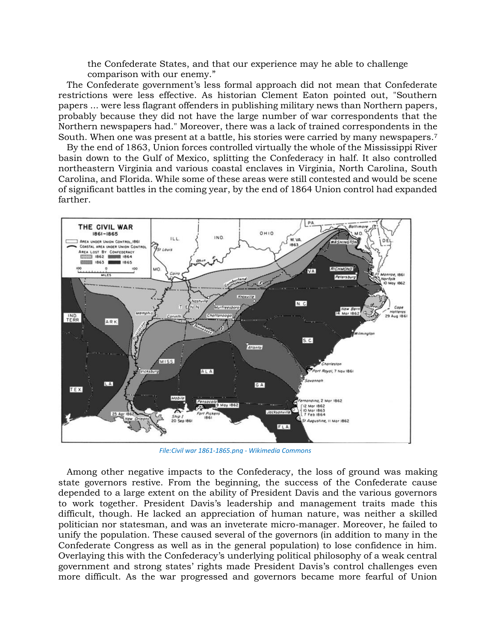the Confederate States, and that our experience may he able to challenge comparison with our enemy."

 The Confederate government's less formal approach did not mean that Confederate restrictions were less effective. As historian Clement Eaton pointed out, "Southern papers ... were less flagrant offenders in publishing military news than Northern papers, probably because they did not have the large number of war correspondents that the Northern newspapers had." Moreover, there was a lack of trained correspondents in the South. When one was present at a battle, his stories were carried by many newspapers.<sup>7</sup>

 By the end of 1863, Union forces controlled virtually the whole of the Mississippi River basin down to the Gulf of Mexico, splitting the Confederacy in half. It also controlled northeastern Virginia and various coastal enclaves in Virginia, North Carolina, South Carolina, and Florida. While some of these areas were still contested and would be scene of significant battles in the coming year, by the end of 1864 Union control had expanded farther.



*[File:Civil war 1861-1865.png -](https://commons.wikimedia.org/wiki/File:Civil_war_1861-1865.png) Wikimedia Commons*

 Among other negative impacts to the Confederacy, the loss of ground was making state governors restive. From the beginning, the success of the Confederate cause depended to a large extent on the ability of President Davis and the various governors to work together. President Davis's leadership and management traits made this difficult, though. He lacked an appreciation of human nature, was neither a skilled politician nor statesman, and was an inveterate micro-manager. Moreover, he failed to unify the population. These caused several of the governors (in addition to many in the Confederate Congress as well as in the general population) to lose confidence in him. Overlaying this with the Confederacy's underlying political philosophy of a weak central government and strong states' rights made President Davis's control challenges even more difficult. As the war progressed and governors became more fearful of Union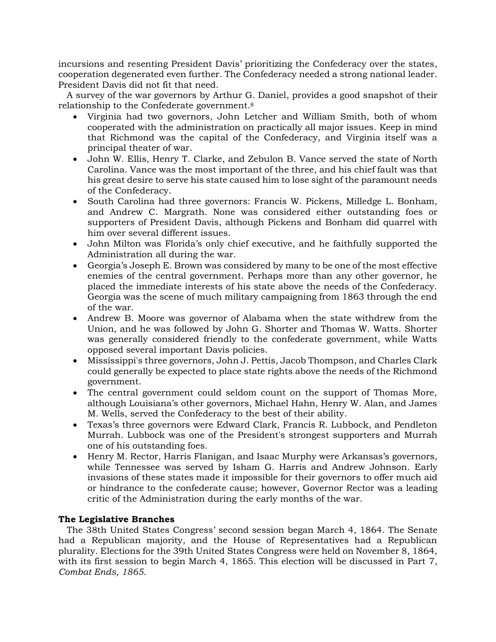incursions and resenting President Davis' prioritizing the Confederacy over the states, cooperation degenerated even further. The Confederacy needed a strong national leader. President Davis did not fit that need.

 A survey of the war governors by Arthur G. Daniel, provides a good snapshot of their relationship to the Confederate government.<sup>8</sup>

- Virginia had two governors, John Letcher and William Smith, both of whom cooperated with the administration on practically all major issues. Keep in mind that Richmond was the capital of the Confederacy, and Virginia itself was a principal theater of war.
- John W. Ellis, Henry T. Clarke, and Zebulon B. Vance served the state of North Carolina. Vance was the most important of the three, and his chief fault was that his great desire to serve his state caused him to lose sight of the paramount needs of the Confederacy.
- South Carolina had three governors: Francis W. Pickens, Milledge L. Bonham, and Andrew C. Margrath. None was considered either outstanding foes or supporters of President Davis, although Pickens and Bonham did quarrel with him over several different issues.
- John Milton was Florida's only chief executive, and he faithfully supported the Administration all during the war.
- Georgia's Joseph E. Brown was considered by many to be one of the most effective enemies of the central government. Perhaps more than any other governor, he placed the immediate interests of his state above the needs of the Confederacy. Georgia was the scene of much military campaigning from 1863 through the end of the war.
- Andrew B. Moore was governor of Alabama when the state withdrew from the Union, and he was followed by John G. Shorter and Thomas W. Watts. Shorter was generally considered friendly to the confederate government, while Watts opposed several important Davis policies.
- Mississippi's three governors, John J. Pettis, Jacob Thompson, and Charles Clark could generally be expected to place state rights above the needs of the Richmond government.
- The central government could seldom count on the support of Thomas More, although Louisiana's other governors, Michael Hahn, Henry W. Alan, and James M. Wells, served the Confederacy to the best of their ability.
- Texas's three governors were Edward Clark, Francis R. Lubbock, and Pendleton Murrah. Lubbock was one of the President's strongest supporters and Murrah one of his outstanding foes.
- Henry M. Rector, Harris Flanigan, and Isaac Murphy were Arkansas's governors, while Tennessee was served by Isham G. Harris and Andrew Johnson. Early invasions of these states made it impossible for their governors to offer much aid or hindrance to the confederate cause; however, Governor Rector was a leading critic of the Administration during the early months of the war.

# **The Legislative Branches**

 The 38th United States Congress' second session began March 4, 1864. The Senate had a Republican majority, and the House of Representatives had a Republican plurality. Elections for the 39th United States Congress were held on November 8, 1864, with its first session to begin March 4, 1865. This election will be discussed in Part 7, *Combat Ends, 1865*.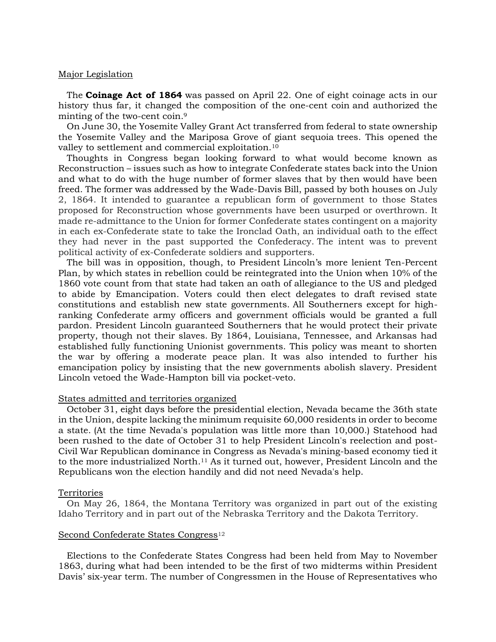## Major Legislation

 The **Coinage Act of 1864** was passed on April 22. One of eight coinage acts in our history thus far, it changed the composition of the one-cent coin and authorized the minting of the two-cent coin. 9

 On June 30, the Yosemite Valley Grant Act transferred from federal to state ownership the Yosemite Valley and the Mariposa Grove of giant sequoia trees. This opened the valley to settlement and commercial exploitation.<sup>10</sup>

 Thoughts in Congress began looking forward to what would become known as Reconstruction – issues such as how to integrate Confederate states back into the Union and what to do with the huge number of former slaves that by then would have been freed. The former was addressed by the Wade-Davis Bill, passed by both houses on July 2, 1864. It intended to guarantee a republican form of government to those States proposed for Reconstruction whose governments have been usurped or overthrown. It made re-admittance to the Union for former Confederate states contingent on a majority in each ex-Confederate state to take the Ironclad Oath, an individual oath to the effect they had never in the past supported the Confederacy. The intent was to prevent political activity of ex-Confederate soldiers and supporters.

 The bill was in opposition, though, to President Lincoln's more lenient Ten-Percent Plan, by which states in rebellion could be reintegrated into the Union when 10% of the 1860 vote count from that state had taken an oath of allegiance to the US and pledged to abide by Emancipation. Voters could then elect delegates to draft revised state constitutions and establish new state governments. All Southerners except for highranking Confederate army officers and government officials would be granted a full pardon. President Lincoln guaranteed Southerners that he would protect their private property, though not their slaves. By 1864, Louisiana, Tennessee, and Arkansas had established fully functioning Unionist governments. This policy was meant to shorten the war by offering a moderate peace plan. It was also intended to further his emancipation policy by insisting that the new governments abolish slavery. President Lincoln vetoed the Wade-Hampton bill via pocket-veto.

## States admitted and territories organized

 October 31, eight days before the presidential election, Nevada became the 36th state in the Union, despite lacking the minimum requisite 60,000 residents in order to become a state. (At the time Nevada's population was little more than 10,000.) Statehood had been rushed to the date of October 31 to help President Lincoln's reelection and post-Civil War Republican dominance in Congress as Nevada's mining-based economy tied it to the more industrialized North. <sup>11</sup> As it turned out, however, President Lincoln and the Republicans won the election handily and did not need Nevada's help.

## Territories

 On May 26, 1864, the Montana Territory was organized in part out of the existing Idaho Territory and in part out of the Nebraska Territory and the Dakota Territory.

## Second Confederate States Congress<sup>12</sup>

 Elections to the Confederate States Congress had been held from May to November 1863, during what had been intended to be the first of two midterms within President Davis' six-year term. The number of Congressmen in the House of Representatives who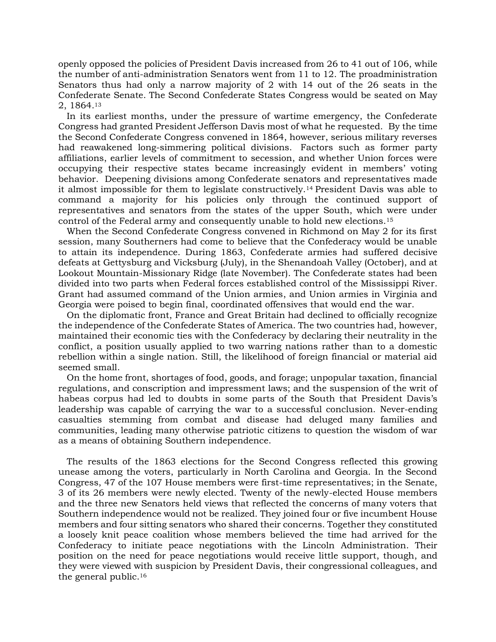openly opposed the policies of President Davis increased from 26 to 41 out of 106, while the number of anti-administration Senators went from 11 to 12. The proadministration Senators thus had only a narrow majority of 2 with 14 out of the 26 seats in the Confederate Senate. The Second Confederate States Congress would be seated on May 2, 1864.<sup>13</sup>

 In its earliest months, under the pressure of wartime emergency, the Confederate Congress had granted President Jefferson Davis most of what he requested. By the time the Second Confederate Congress convened in 1864, however, serious military reverses had reawakened long-simmering political divisions. Factors such as former party affiliations, earlier levels of commitment to secession, and whether Union forces were occupying their respective states became increasingly evident in members' voting behavior. Deepening divisions among Confederate senators and representatives made it almost impossible for them to legislate constructively.<sup>14</sup> President Davis was able to command a majority for his policies only through the continued support of representatives and senators from the states of the upper South, which were under control of the Federal army and consequently unable to hold new elections.<sup>15</sup>

 When the Second Confederate Congress convened in Richmond on May 2 for its first session, many Southerners had come to believe that the Confederacy would be unable to attain its independence. During 1863, Confederate armies had suffered decisive defeats at Gettysburg and Vicksburg (July), in the Shenandoah Valley (October), and at Lookout Mountain-Missionary Ridge (late November). The Confederate states had been divided into two parts when Federal forces established control of the Mississippi River. Grant had assumed command of the Union armies, and Union armies in Virginia and Georgia were poised to begin final, coordinated offensives that would end the war.

 On the diplomatic front, France and Great Britain had declined to officially recognize the independence of the Confederate States of America. The two countries had, however, maintained their economic ties with the Confederacy by declaring their neutrality in the conflict, a position usually applied to two warring nations rather than to a domestic rebellion within a single nation. Still, the likelihood of foreign financial or material aid seemed small.

 On the home front, shortages of food, goods, and forage; unpopular taxation, financial regulations, and conscription and impressment laws; and the suspension of the writ of habeas corpus had led to doubts in some parts of the South that President Davis's leadership was capable of carrying the war to a successful conclusion. Never-ending casualties stemming from combat and disease had deluged many families and communities, leading many otherwise patriotic citizens to question the wisdom of war as a means of obtaining Southern independence.

 The results of the 1863 elections for the Second Congress reflected this growing unease among the voters, particularly in North Carolina and Georgia. In the Second Congress, 47 of the 107 House members were first-time representatives; in the Senate, 3 of its 26 members were newly elected. Twenty of the newly-elected House members and the three new Senators held views that reflected the concerns of many voters that Southern independence would not be realized. They joined four or five incumbent House members and four sitting senators who shared their concerns. Together they constituted a loosely knit peace coalition whose members believed the time had arrived for the Confederacy to initiate peace negotiations with the Lincoln Administration. Their position on the need for peace negotiations would receive little support, though, and they were viewed with suspicion by President Davis, their congressional colleagues, and the general public.16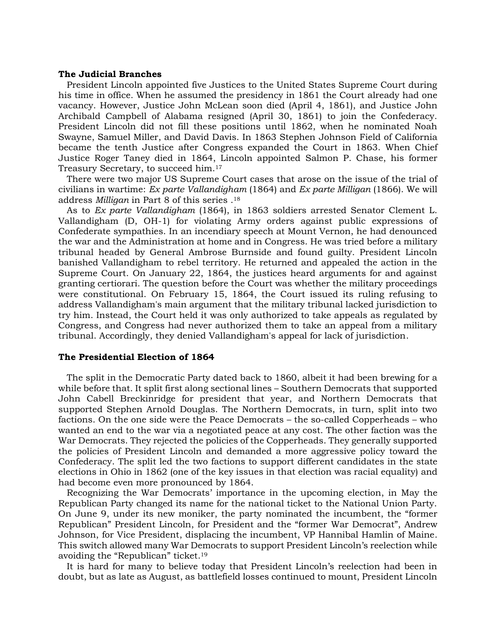#### **The Judicial Branches**

 President Lincoln appointed five Justices to the United States Supreme Court during his time in office. When he assumed the presidency in 1861 the Court already had one vacancy. However, Justice John McLean soon died (April 4, 1861), and Justice John Archibald Campbell of Alabama resigned (April 30, 1861) to join the Confederacy. President Lincoln did not fill these positions until 1862, when he nominated Noah Swayne, Samuel Miller, and David Davis. In 1863 Stephen Johnson Field of California became the tenth Justice after Congress expanded the Court in 1863. When Chief Justice Roger Taney died in 1864, Lincoln appointed Salmon P. Chase, his former Treasury Secretary, to succeed him.<sup>17</sup>

 There were two major US Supreme Court cases that arose on the issue of the trial of civilians in wartime: *Ex parte Vallandigham* (1864) and *Ex parte Milligan* (1866). We will address *Milligan* in Part 8 of this series . 18

 As to *Ex parte Vallandigham* (1864), in 1863 soldiers arrested Senator Clement L. Vallandigham (D, OH-1) for violating Army orders against public expressions of Confederate sympathies. In an incendiary speech at Mount Vernon, he had denounced the war and the Administration at home and in Congress. He was tried before a military tribunal headed by General Ambrose Burnside and found guilty. President Lincoln banished Vallandigham to rebel territory. He returned and appealed the action in the Supreme Court. On January 22, 1864, the justices heard arguments for and against granting certiorari. The question before the Court was whether the military proceedings were constitutional. On February 15, 1864, the Court issued its ruling refusing to address Vallandigham's main argument that the military tribunal lacked jurisdiction to try him. Instead, the Court held it was only authorized to take appeals as regulated by Congress, and Congress had never authorized them to take an appeal from a military tribunal. Accordingly, they denied Vallandigham's appeal for lack of jurisdiction.

## **The Presidential Election of 1864**

 The split in the Democratic Party dated back to 1860, albeit it had been brewing for a while before that. It split first along sectional lines – Southern Democrats that supported John Cabell Breckinridge for president that year, and Northern Democrats that supported Stephen Arnold Douglas. The Northern Democrats, in turn, split into two factions. On the one side were the Peace Democrats – the so-called Copperheads – who wanted an end to the war via a negotiated peace at any cost. The other faction was the War Democrats. They rejected the policies of the Copperheads. They generally supported the policies of President Lincoln and demanded a more aggressive policy toward the Confederacy. The split led the two factions to support different candidates in the state elections in Ohio in 1862 (one of the key issues in that election was racial equality) and had become even more pronounced by 1864.

 Recognizing the War Democrats' importance in the upcoming election, in May the Republican Party changed its name for the national ticket to the National Union Party. On June 9, under its new moniker, the party nominated the incumbent, the "former Republican" President Lincoln, for President and the "former War Democrat", Andrew Johnson, for Vice President, displacing the incumbent, VP Hannibal Hamlin of Maine. This switch allowed many War Democrats to support President Lincoln's reelection while avoiding the "Republican" ticket. 19

 It is hard for many to believe today that President Lincoln's reelection had been in doubt, but as late as August, as battlefield losses continued to mount, President Lincoln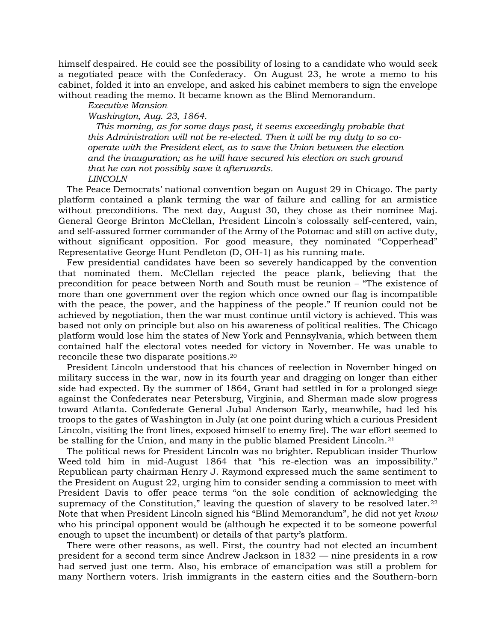himself despaired. He could see the possibility of losing to a candidate who would seek a negotiated peace with the Confederacy. On August 23, he wrote a memo to his cabinet, folded it into an envelope, and asked his cabinet members to sign the envelope without reading the memo. It became known as the Blind Memorandum.

#### *Executive Mansion*

*Washington, Aug. 23, 1864.*

 *This morning, as for some days past, it seems exceedingly probable that this Administration will not be re-elected. Then it will be my duty to so cooperate with the President elect, as to save the Union between the election and the inauguration; as he will have secured his election on such ground that he can not possibly save it afterwards. LINCOLN*

 The Peace Democrats' national convention began on August 29 in Chicago. The party platform contained a plank terming the war of failure and calling for an armistice without preconditions. The next day, August 30, they chose as their nominee Maj. General George Brinton McClellan, President Lincoln's colossally self-centered, vain, and self-assured former commander of the Army of the Potomac and still on active duty, without significant opposition. For good measure, they nominated "Copperhead" Representative George Hunt Pendleton (D, OH-1) as his running mate.

 Few presidential candidates have been so severely handicapped by the convention that nominated them. McClellan rejected the peace plank, believing that the precondition for peace between North and South must be reunion – "The existence of more than one government over the region which once owned our flag is incompatible with the peace, the power, and the happiness of the people." If reunion could not be achieved by negotiation, then the war must continue until victory is achieved. This was based not only on principle but also on his awareness of political realities. The Chicago platform would lose him the states of New York and Pennsylvania, which between them contained half the electoral votes needed for victory in November. He was unable to reconcile these two disparate positions. 20

 President Lincoln understood that his chances of reelection in November hinged on military success in the war, now in its fourth year and dragging on longer than either side had expected. By the summer of 1864, Grant had settled in for a prolonged siege against the Confederates near Petersburg, Virginia, and Sherman made slow progress toward Atlanta. Confederate General Jubal Anderson Early, meanwhile, had led his troops to the gates of Washington in July (at one point during which a curious President Lincoln, visiting the front lines, exposed himself to enemy fire). The war effort seemed to be stalling for the Union, and many in the public blamed President Lincoln.<sup>21</sup>

 The political news for President Lincoln was no brighter. Republican insider Thurlow Weed told him in mid-August 1864 that "his re-election was an impossibility." Republican party chairman Henry J. Raymond expressed much the same sentiment to the President on August 22, urging him to consider sending a commission to meet with President Davis to offer peace terms "on the sole condition of acknowledging the supremacy of the Constitution," leaving the question of slavery to be resolved later.<sup>22</sup> Note that when President Lincoln signed his "Blind Memorandum", he did not yet *know* who his principal opponent would be (although he expected it to be someone powerful enough to upset the incumbent) or details of that party's platform.

 There were other reasons, as well. First, the country had not elected an incumbent president for a second term since Andrew Jackson in 1832 — nine presidents in a row had served just one term. Also, his embrace of emancipation was still a problem for many Northern voters. Irish immigrants in the eastern cities and the Southern-born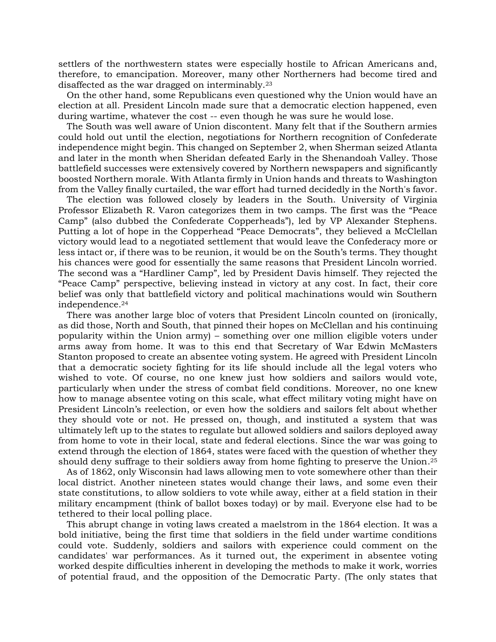settlers of the northwestern states were especially hostile to African Americans and, therefore, to emancipation. Moreover, many other Northerners had become tired and disaffected as the war dragged on interminably.<sup>23</sup>

 On the other hand, some Republicans even questioned why the Union would have an election at all. President Lincoln made sure that a democratic election happened, even during wartime, whatever the cost -- even though he was sure he would lose.

 The South was well aware of Union discontent. Many felt that if the Southern armies could hold out until the election, negotiations for Northern recognition of Confederate independence might begin. This changed on September 2, when Sherman seized Atlanta and later in the month when Sheridan defeated Early in the Shenandoah Valley. Those battlefield successes were extensively covered by Northern newspapers and significantly boosted Northern morale. With Atlanta firmly in Union hands and threats to Washington from the Valley finally curtailed, the war effort had turned decidedly in the North's favor.

 The election was followed closely by leaders in the South. University of Virginia Professor Elizabeth R. Varon categorizes them in two camps. The first was the "Peace Camp" (also dubbed the Confederate Copperheads"), led by VP Alexander Stephens. Putting a lot of hope in the Copperhead "Peace Democrats", they believed a McClellan victory would lead to a negotiated settlement that would leave the Confederacy more or less intact or, if there was to be reunion, it would be on the South's terms. They thought his chances were good for essentially the same reasons that President Lincoln worried. The second was a "Hardliner Camp", led by President Davis himself. They rejected the "Peace Camp" perspective, believing instead in victory at any cost. In fact, their core belief was only that battlefield victory and political machinations would win Southern independence. 24

 There was another large bloc of voters that President Lincoln counted on (ironically, as did those, North and South, that pinned their hopes on McClellan and his continuing popularity within the Union army) – something over one million eligible voters under arms away from home. It was to this end that Secretary of War Edwin McMasters Stanton proposed to create an absentee voting system. He agreed with President Lincoln that a democratic society fighting for its life should include all the legal voters who wished to vote. Of course, no one knew just how soldiers and sailors would vote, particularly when under the stress of combat field conditions. Moreover, no one knew how to manage absentee voting on this scale, what effect military voting might have on President Lincoln's reelection, or even how the soldiers and sailors felt about whether they should vote or not. He pressed on, though, and instituted a system that was ultimately left up to the states to regulate but allowed soldiers and sailors deployed away from home to vote in their local, state and federal elections. Since the war was going to extend through the election of 1864, states were faced with the question of whether they should deny suffrage to their soldiers away from home fighting to preserve the Union.<sup>25</sup>

 As of 1862, only Wisconsin had laws allowing men to vote somewhere other than their local district. Another nineteen states would change their laws, and some even their state constitutions, to allow soldiers to vote while away, either at a field station in their military encampment (think of ballot boxes today) or by mail. Everyone else had to be tethered to their local polling place.

 This abrupt change in voting laws created a maelstrom in the 1864 election. It was a bold initiative, being the first time that soldiers in the field under wartime conditions could vote. Suddenly, soldiers and sailors with experience could comment on the candidates' war performances. As it turned out, the experiment in absentee voting worked despite difficulties inherent in developing the methods to make it work, worries of potential fraud, and the opposition of the Democratic Party. (The only states that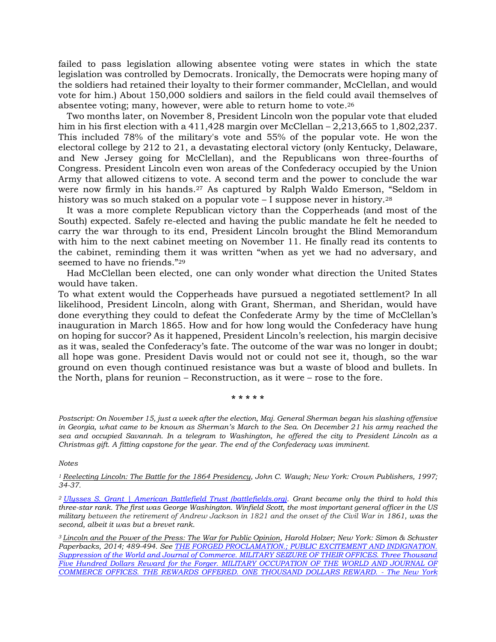failed to pass legislation allowing absentee voting were states in which the state legislation was controlled by Democrats. Ironically, the Democrats were hoping many of the soldiers had retained their loyalty to their former commander, McClellan, and would vote for him.) About 150,000 soldiers and sailors in the field could avail themselves of absentee voting; many, however, were able to return home to vote. 26

 Two months later, on November 8, President Lincoln won the popular vote that eluded him in his first election with a 411,428 margin over McClellan – 2,213,665 to 1,802,237. This included 78% of the military's vote and 55% of the popular vote. He won the electoral college by 212 to 21, a devastating electoral victory (only Kentucky, Delaware, and New Jersey going for McClellan), and the Republicans won three-fourths of Congress. President Lincoln even won areas of the Confederacy occupied by the Union Army that allowed citizens to vote. A second term and the power to conclude the war were now firmly in his hands. <sup>27</sup> As captured by Ralph Waldo Emerson, "Seldom in history was so much staked on a popular vote - I suppose never in history.<sup>28</sup>

 It was a more complete Republican victory than the Copperheads (and most of the South) expected. Safely re-elected and having the public mandate he felt he needed to carry the war through to its end, President Lincoln brought the Blind Memorandum with him to the next cabinet meeting on November 11. He finally read its contents to the cabinet, reminding them it was written "when as yet we had no adversary, and seemed to have no friends."<sup>29</sup>

 Had McClellan been elected, one can only wonder what direction the United States would have taken.

To what extent would the Copperheads have pursued a negotiated settlement? In all likelihood, President Lincoln, along with Grant, Sherman, and Sheridan, would have done everything they could to defeat the Confederate Army by the time of McClellan's inauguration in March 1865. How and for how long would the Confederacy have hung on hoping for succor? As it happened, President Lincoln's reelection, his margin decisive as it was, sealed the Confederacy's fate. The outcome of the war was no longer in doubt; all hope was gone. President Davis would not or could not see it, though, so the war ground on even though continued resistance was but a waste of blood and bullets. In the North, plans for reunion – Reconstruction, as it were – rose to the fore.

**\* \* \* \* \***

*Postscript: On November 15, just a week after the election, Maj. General Sherman began his slashing offensive in Georgia, what came to be known as Sherman's March to the Sea. On December 21 his army reached the sea and occupied Savannah. In a telegram to Washington, he offered the city to President Lincoln as a Christmas gift. A fitting capstone for the year. The end of the Confederacy was imminent.*

*Notes*

*<sup>1</sup>Reelecting Lincoln: The Battle for the 1864 Presidency, John C. Waugh; New York: Crown Publishers, 1997; 34-37.*

*<sup>2</sup>[Ulysses S. Grant | American Battlefield Trust \(battlefields.org\).](https://www.battlefields.org/learn/biographies/ulysses-s-grant) Grant became only the third to hold this three-star rank. The first was George Washington. Winfield Scott, the most important general officer in the US military between the retirement of Andrew Jackson in 1821 and the onset of the Civil War in 1861, was the second, albeit it was but a brevet rank.*

*<sup>3</sup>Lincoln and the Power of the Press: The War for Public Opinion, Harold Holzer; New York: Simon & Schuster Paperbacks, 2014; 489-494. See [THE FORGED PROCLAMATION.; PUBLIC EXCITEMENT AND INDIGNATION.](https://www.nytimes.com/1864/05/19/archives/the-forged-proclamation-public-excitement-and-indignation.html)  [Suppression of the World and Journal of Commerce. MILITARY SEIZURE OF THEIR OFFICES. Three Thousand](https://www.nytimes.com/1864/05/19/archives/the-forged-proclamation-public-excitement-and-indignation.html)  [Five Hundred Dollars Reward for the Forger. MILITARY OCCUPATION OF THE WORLD AND JOURNAL OF](https://www.nytimes.com/1864/05/19/archives/the-forged-proclamation-public-excitement-and-indignation.html)  [COMMERCE OFFICES. THE REWARDS OFFERED. ONE THOUSAND DOLLARS REWARD. -](https://www.nytimes.com/1864/05/19/archives/the-forged-proclamation-public-excitement-and-indignation.html) The New York*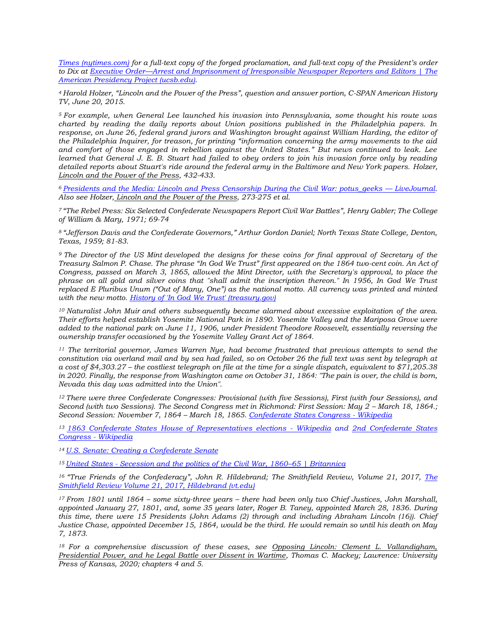*[Times \(nytimes.com\)](https://www.nytimes.com/1864/05/19/archives/the-forged-proclamation-public-excitement-and-indignation.html) for a full-text copy of the forged proclamation, and full-text copy of the President's order to Dix at Executive Order—[Arrest and Imprisonment of Irresponsible Newspaper Reporters and Editors | The](https://www.presidency.ucsb.edu/documents/executive-order-arrest-and-imprisonment-irresponsible-newspaper-reporters-and-editors)  [American Presidency](https://www.presidency.ucsb.edu/documents/executive-order-arrest-and-imprisonment-irresponsible-newspaper-reporters-and-editors) Project (ucsb.edu)*.

*<sup>4</sup>Harold Holzer, "Lincoln and the Power of the Press", question and answer portion, C-SPAN American History TV, June 20, 2015.* 

*<sup>5</sup>For example, when General Lee launched his invasion into Pennsylvania, some thought his route was charted by reading the daily reports about Union positions published in the Philadelphia papers. In response, on June 26, federal grand jurors and Washington brought against William Harding, the editor of the Philadelphia Inquirer, for treason, for printing "information concerning the army movements to the aid and comfort of those engaged in rebellion against the United States." But news continued to leak. Lee learned that General J. E. B. Stuart had failed to obey orders to join his invasion force only by reading detailed reports about Stuart's ride around the federal army in the Baltimore and New York papers. Holzer, Lincoln and the Power of the Press, 432-433.*

*<sup>6</sup>[Presidents and the Media: Lincoln and Press Censorship During the Civil War: potus\\_geeks](https://potus-geeks.livejournal.com/788857.html) — LiveJournal. Also see Holzer, Lincoln and the Power of the Press, 273-275 et al.*

*<sup>7</sup>"The Rebel Press: Six Selected Confederate Newspapers Report Civil War Battles", Henry Gabler; The College of William & Mary, 1971; 69-74*

*<sup>8</sup>"Jefferson Davis and the Confederate Governors," Arthur Gordon Daniel; North Texas State College, Denton, Texas, 1959; 81-83.*

*<sup>9</sup>The Director of the US Mint developed the designs for these coins for final approval of Secretary of the Treasury Salmon P. Chase. The phrase "In God We Trust" first appeared on the 1864 two-cent coin. An Act of Congress, passed on March 3, 1865, allowed the Mint Director, with the Secretary's approval, to place the phrase on all gold and silver coins that "shall admit the inscription thereon." In 1956, In God We Trust replaced E Pluribus Unum ("Out of Many, One") as the national motto. All currency was printed and minted with the new motto. [History of 'In God We Trust' \(treasury.gov\)](https://www.treasury.gov/about/education/Pages/in-god-we-trust.aspx)*

*<sup>10</sup>Naturalist John Muir and others subsequently became alarmed about excessive exploitation of the area. Their efforts helped establish Yosemite National Park in 1890. Yosemite Valley and the Mariposa Grove were added to the national park on June 11, 1906, under President Theodore Roosevelt, essentially reversing the ownership transfer occasioned by the Yosemite Valley Grant Act of 1864.*

*<sup>11</sup> The territorial governor, James Warren Nye, had become frustrated that previous attempts to send the constitution via overland mail and by sea had failed, so on October 26 the full text was sent by telegraph at a cost of \$4,303.27 – the costliest telegraph on file at the time for a single dispatch, equivalent to \$71,205.38 in 2020. Finally, the response from Washington came on October 31, 1864: "The pain is over, the child is born, Nevada this day was admitted into the Union".*

*<sup>12</sup>There were three Confederate Congresses: Provisional (with five Sessions), First (with four Sessions), and Second (with two Sessions). The Second Congress met in Richmond: First Session: May 2 – March 18, 1864.; Second Session: November 7, 1864 – March 18, 1865. [Confederate States Congress -](https://en.wikipedia.org/wiki/Confederate_States_Congress#cite_note-69) Wikipedia*

*<sup>13</sup>[1863 Confederate States House of Representatives elections -](https://en.wikipedia.org/wiki/1863_Confederate_States_House_of_Representatives_elections) Wikipedia and [2nd Confederate States](https://en.wikipedia.org/wiki/2nd_Confederate_States_Congress)  [Congress -](https://en.wikipedia.org/wiki/2nd_Confederate_States_Congress) Wikipedia*

*<sup>14</sup>[U.S. Senate: Creating a Confederate Senate](https://www.senate.gov/artandhistory/history/minute/Creating_a_new_Senate.htm)*

*<sup>15</sup>United States - [Secession and the politics of the Civil War, 1860](https://www.britannica.com/place/United-States/Secession-and-the-politics-of-the-Civil-War-1860-65)–65 | Britannica*

<sup>16</sup> "True Friends of the Confederacy", John R. Hildebrand; [The](https://vtechworks.lib.vt.edu/bitstream/handle/10919/89452/SR_v21_hildebrand.pdf?sequence=1) Smithfield Review, Volume 21, 2017, *The [Smithfield Review Volume 21, 2017, Hildebrand \(vt.edu\)](https://vtechworks.lib.vt.edu/bitstream/handle/10919/89452/SR_v21_hildebrand.pdf?sequence=1)*

*<sup>17</sup>From 1801 until 1864 – some sixty-three years – there had been only two Chief Justices, John Marshall, appointed January 27, 1801, and, some 35 years later, Roger B. Taney, appointed March 28, 1836. During this time, there were 15 Presidents (John Adams (2) through and including Abraham Lincoln (16)). Chief Justice Chase, appointed December 15, 1864, would be the third. He would remain so until his death on May 7, 1873.* 

*<sup>18</sup>For a comprehensive discussion of these cases, see Opposing Lincoln: Clement L. Vallandigham, Presidential Power, and he Legal Battle over Dissent in Wartime, Thomas C. Mackey; Lawrence: University Press of Kansas, 2020; chapters 4 and 5.*